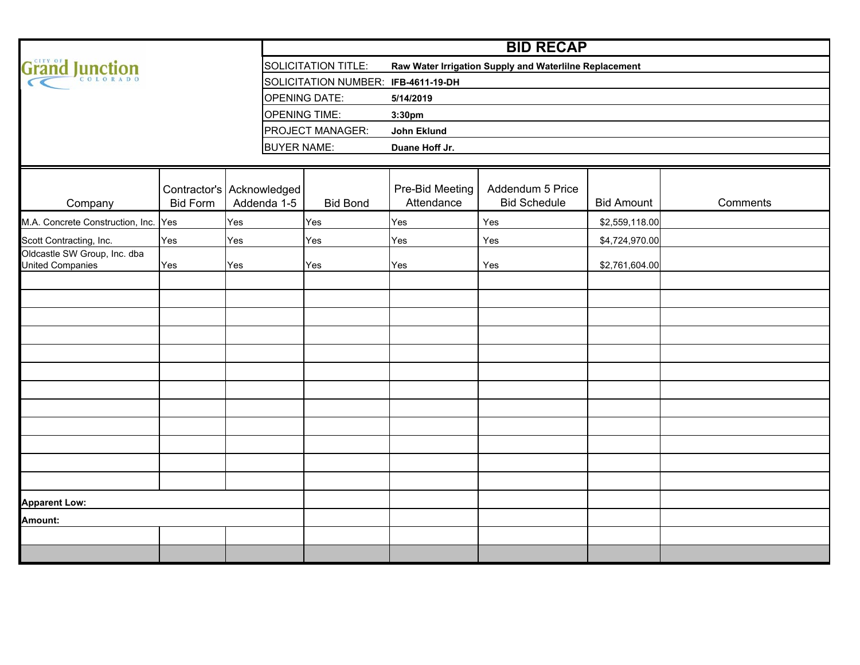|                                                  |                 |                                          | <b>BID RECAP</b>                    |                                                        |                                         |                   |          |  |  |  |  |  |  |  |  |  |
|--------------------------------------------------|-----------------|------------------------------------------|-------------------------------------|--------------------------------------------------------|-----------------------------------------|-------------------|----------|--|--|--|--|--|--|--|--|--|
| Grand Junction                                   |                 |                                          | <b>SOLICITATION TITLE:</b>          | Raw Water Irrigation Supply and Waterlilne Replacement |                                         |                   |          |  |  |  |  |  |  |  |  |  |
|                                                  |                 |                                          | SOLICITATION NUMBER: IFB-4611-19-DH |                                                        |                                         |                   |          |  |  |  |  |  |  |  |  |  |
|                                                  |                 |                                          | <b>OPENING DATE:</b>                | 5/14/2019                                              |                                         |                   |          |  |  |  |  |  |  |  |  |  |
|                                                  |                 |                                          | <b>OPENING TIME:</b>                | 3:30pm                                                 |                                         |                   |          |  |  |  |  |  |  |  |  |  |
|                                                  |                 |                                          | PROJECT MANAGER:                    | John Eklund                                            |                                         |                   |          |  |  |  |  |  |  |  |  |  |
|                                                  |                 | <b>BUYER NAME:</b>                       |                                     | Duane Hoff Jr.                                         |                                         |                   |          |  |  |  |  |  |  |  |  |  |
|                                                  |                 |                                          |                                     |                                                        |                                         |                   |          |  |  |  |  |  |  |  |  |  |
| Company                                          | <b>Bid Form</b> | Contractor's Acknowledged<br>Addenda 1-5 | <b>Bid Bond</b>                     | Pre-Bid Meeting<br>Attendance                          | Addendum 5 Price<br><b>Bid Schedule</b> | <b>Bid Amount</b> | Comments |  |  |  |  |  |  |  |  |  |
| M.A. Concrete Construction, Inc. Yes             |                 | Yes                                      | Yes                                 | Yes                                                    | Yes                                     | \$2,559,118.00    |          |  |  |  |  |  |  |  |  |  |
| Scott Contracting, Inc.                          | Yes             | Yes                                      | Yes                                 | Yes                                                    | Yes                                     | \$4,724,970.00    |          |  |  |  |  |  |  |  |  |  |
| Oldcastle SW Group, Inc. dba<br>United Companies | Yes             | Yes                                      | Yes                                 | Yes                                                    | Yes                                     | \$2,761,604.00    |          |  |  |  |  |  |  |  |  |  |
|                                                  |                 |                                          |                                     |                                                        |                                         |                   |          |  |  |  |  |  |  |  |  |  |
|                                                  |                 |                                          |                                     |                                                        |                                         |                   |          |  |  |  |  |  |  |  |  |  |
|                                                  |                 |                                          |                                     |                                                        |                                         |                   |          |  |  |  |  |  |  |  |  |  |
|                                                  |                 |                                          |                                     |                                                        |                                         |                   |          |  |  |  |  |  |  |  |  |  |
|                                                  |                 |                                          |                                     |                                                        |                                         |                   |          |  |  |  |  |  |  |  |  |  |
|                                                  |                 |                                          |                                     |                                                        |                                         |                   |          |  |  |  |  |  |  |  |  |  |
|                                                  |                 |                                          |                                     |                                                        |                                         |                   |          |  |  |  |  |  |  |  |  |  |
|                                                  |                 |                                          |                                     |                                                        |                                         |                   |          |  |  |  |  |  |  |  |  |  |
|                                                  |                 |                                          |                                     |                                                        |                                         |                   |          |  |  |  |  |  |  |  |  |  |
|                                                  |                 |                                          |                                     |                                                        |                                         |                   |          |  |  |  |  |  |  |  |  |  |
|                                                  |                 |                                          |                                     |                                                        |                                         |                   |          |  |  |  |  |  |  |  |  |  |
|                                                  |                 |                                          |                                     |                                                        |                                         |                   |          |  |  |  |  |  |  |  |  |  |
| <b>Apparent Low:</b>                             |                 |                                          |                                     |                                                        |                                         |                   |          |  |  |  |  |  |  |  |  |  |
| Amount:                                          |                 |                                          |                                     |                                                        |                                         |                   |          |  |  |  |  |  |  |  |  |  |
|                                                  |                 |                                          |                                     |                                                        |                                         |                   |          |  |  |  |  |  |  |  |  |  |
|                                                  |                 |                                          |                                     |                                                        |                                         |                   |          |  |  |  |  |  |  |  |  |  |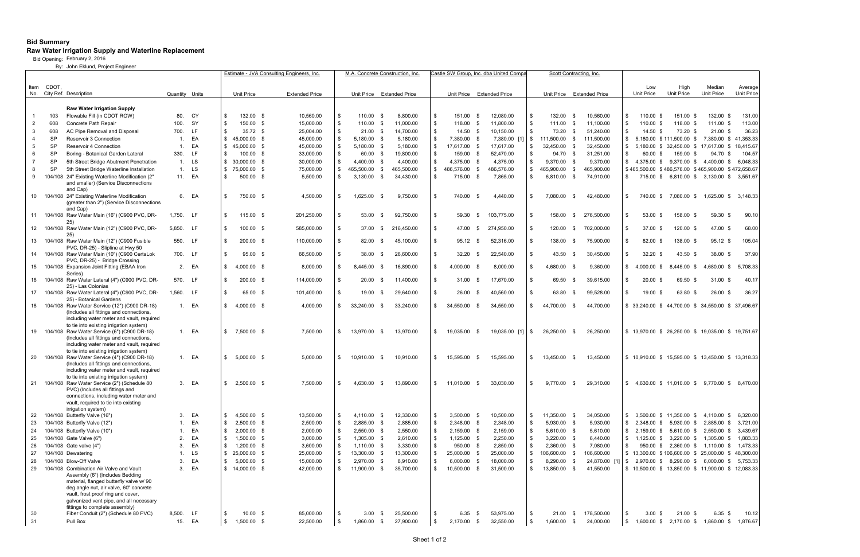## **Bid Summary**

## **Raw Water Irrigation Supply and Waterline Replacement**

Bid Opening: February 2, 2016

By: John Eklund, Project Engineer

|          |            |                                                                                        |                  | Estimate - JVA Consulting Engineers, Inc. |                  |                                   |  | M.A. Concrete Construction. Inc |          |                           |              | :astle SW Group. Inc. dba United Compa |           |                                         |  | Scott Contracting, Inc |                |                           |              |                         |                    |                        |                                                              |                        |                       |
|----------|------------|----------------------------------------------------------------------------------------|------------------|-------------------------------------------|------------------|-----------------------------------|--|---------------------------------|----------|---------------------------|--------------|----------------------------------------|-----------|-----------------------------------------|--|------------------------|----------------|---------------------------|--------------|-------------------------|--------------------|------------------------|--------------------------------------------------------------|------------------------|-----------------------|
| Item     | CDOT.      |                                                                                        |                  |                                           |                  |                                   |  |                                 |          |                           |              |                                        |           |                                         |  |                        |                |                           |              |                         |                    | Low                    | High                                                         | Median                 | Average               |
|          |            | No. City Ref. Description                                                              | Quantity Units   |                                           |                  | <b>Unit Price</b>                 |  | <b>Extended Price</b>           |          | Unit Price Extended Price |              |                                        |           | Unit Price Extended Price               |  |                        |                | Unit Price Extended Price |              |                         |                    | Unit Price             | Unit Price                                                   | <b>Unit Price</b>      | <b>Unit Price</b>     |
|          |            |                                                                                        |                  |                                           |                  |                                   |  |                                 |          |                           |              |                                        |           |                                         |  |                        |                |                           |              |                         |                    |                        |                                                              |                        |                       |
|          |            | <b>Raw Water Irrigation Supply</b>                                                     |                  |                                           | - \$             |                                   |  |                                 |          |                           |              |                                        |           | -\$                                     |  |                        | \$             |                           |              |                         | - \$               |                        | 151.00 \$                                                    |                        |                       |
| -2       | 103<br>608 | Flowable Fill (in CDOT ROW)<br>Concrete Path Repair                                    | 80.<br>100.      | CY<br>SY                                  | - \$             | 132.00 \$<br>150.00 \$            |  | 10,560.00<br>15,000.00          | \$       | 110.00<br>110.00          | - \$<br>- \$ | 8,800.00<br>11,000.00                  | -\$<br>\$ | 151.00<br>118.00 \$                     |  | 12,080.00<br>11,800.00 | \$             | 132.00<br>111.00 \$       |              | 10,560.00<br>11,100.00  | - \$               | 110.00 \$<br>110.00 \$ | 118.00 \$                                                    | 132.00 \$<br>111.00 \$ | 131.00<br>113.00      |
| -3       | 608        | AC Pipe Removal and Disposal                                                           | 700.             | LF                                        | \$               | $35.72$ \$                        |  | 25,004.00                       | \$       | $21.00$ \$                |              | 14,700.00                              | -\$       | $14.50$ \$                              |  | 10,150.00              | \$             | 73.20                     | - \$         | 51,240.00               | \$                 | 14.50 \$               | 73.20 \$                                                     | $21.00 \text{ }$ \$    | 36.23                 |
|          | <b>SP</b>  | <b>Reservoir 3 Connection</b>                                                          | 1.               | EA                                        | \$               | 45,000.00 \$                      |  | 45,000.00                       | \$       | $5,180.00$ \$             |              | 5,180.00                               | - \$      | 7,380.00 \$                             |  | $7,380.00$ [1] \$      |                | 111,500.00                | - \$         | 111,500.00              | \$                 |                        | 5,180.00 \$111,500.00 \$                                     |                        | 7,380.00 \$ 41,353.33 |
|          | <b>SP</b>  | <b>Reservoir 4 Connection</b>                                                          | $\mathbf{1}$ .   | EA                                        | \$               | 45,000.00 \$                      |  | 45,000.00                       | \$       | 5,180.00 \$               |              | 5,180.00                               | \$        | 17,617.00 \$                            |  | 17,617.00              | \$             | 32,450.00 \$              |              | 32,450.00               | - \$               |                        | 5,180.00 \$ 32,450.00 \$ 17,617.00 \$                        |                        | 18,415.67             |
|          | SP         | Boring - Botanical Garden Lateral                                                      | 330.             | <b>LF</b>                                 | - \$             | $100.00$ \$                       |  | 33,000.00                       | \$       | 60.00 \$                  |              | 19,800.00                              | -\$       | 159.00<br>- \$                          |  | 52,470.00              | \$             | 94.70 \$                  |              | 31,251.00               | - \$               | 60.00 \$               | 159.00 \$                                                    | 94.70 \$               | 104.57                |
|          | <b>SP</b>  | 5th Street Bridge Abutment Penetration                                                 | 1.               | LS                                        |                  | $$30,000.00$ \$                   |  | 30,000.00                       | \$       | 4,400.00                  | - \$         | 4,400.00                               | \$        | 4,375.00 \$                             |  | 4,375.00               | \$             | $9,370.00$ \$             |              | 9,370.00                | \$                 |                        | 4,375.00 \$ 9,370.00 \$ 4,400.00 \$                          |                        | 6,048.33              |
| -8       | SP         | 5th Street Bridge Waterline Installation                                               | $\mathbf{1}$ .   | LS                                        | \$               | 75,000.00 \$                      |  | 75,000.00                       | \$       | 465.500.00 \$             |              | 465,500.00                             | \$        | 486,576.00 \$                           |  | 486,576.00             | \$             | 465,900.00                | - \$         | 465,900.00              |                    |                        | \$465,500.00 \$486,576.00 \$465,900.00 \$472,658.67          |                        |                       |
| -9       |            | 104/108 24" Existing Waterline Modification (2"                                        |                  | 11. EA                                    | - \$             | 500.00 \$                         |  | 5,500.00                        | \$       | 3,130.00                  | - \$         | 34,430.00                              | \$        | 715.00 \$                               |  | 7,865.00               | \$             | 6,810.00 \$               |              | 74,910.00               | ∣\$.               |                        | 715.00 \$ 6,810.00 \$ 3,130.00 \$                            |                        | 3,551.67              |
|          |            | and smaller) (Service Disconnections                                                   |                  |                                           |                  |                                   |  |                                 |          |                           |              |                                        |           |                                         |  |                        |                |                           |              |                         |                    |                        |                                                              |                        |                       |
| 10       |            | and Cap)<br>104/108 24" Existing Waterline Modification                                |                  | 6. EA                                     | \$               | 750.00 \$                         |  | 4,500.00                        | \$       | 1,625.00                  | - \$         | 9,750.00                               | -\$       | 740.00<br>- \$                          |  | 4,440.00               | \$             | 7,080.00                  | - \$         | 42,480.00               | - \$               | 740.00 \$              | 7,080.00 \$                                                  |                        | 1,625.00 \$ 3,148.33  |
|          |            | (greater than 2") (Service Disconnections                                              |                  |                                           |                  |                                   |  |                                 |          |                           |              |                                        |           |                                         |  |                        |                |                           |              |                         |                    |                        |                                                              |                        |                       |
|          |            | and Cap)                                                                               |                  |                                           |                  |                                   |  |                                 |          |                           |              |                                        |           |                                         |  |                        |                |                           |              |                         |                    |                        |                                                              |                        |                       |
| 11       |            | 104/108 Raw Water Main (16") (C900 PVC, DR-                                            | 1,750.           | LF                                        | - \$             | $115.00$ \$                       |  | 201,250.00                      | \$.      | 53.00                     | - \$         | 92,750.00                              | -\$       | 59.30<br>\$                             |  | 103,775.00             | \$             | 158.00                    | - \$         | 276,500.00              | - \$               | 53.00 \$               | 158.00 \$                                                    | 59.30 \$               | 90.10                 |
|          |            | 25)<br>12 104/108 Raw Water Main (12") (C900 PVC, DR-                                  | 5,850. LF        |                                           | - \$             | $100.00$ \$                       |  | 585,000.00                      | \$.      | 37.00                     | - \$         | 216,450.00                             | \$        | 47.00<br><b>\$</b>                      |  | 274,950.00             | \$             | 120.00                    | - SS         | 702,000.00              | - \$               | 37.00 \$               | 120.00 \$                                                    | 47.00 \$               | 68.00                 |
|          |            | 25)                                                                                    |                  |                                           |                  |                                   |  |                                 |          |                           |              |                                        |           |                                         |  |                        |                |                           |              |                         |                    |                        |                                                              |                        |                       |
|          |            | 13 104/108 Raw Water Main (12") (C900 Fusible<br>PVC, DR-25) - Slipline at Hwy 50      | 550. LF          |                                           | - \$             | $200.00$ \$                       |  | 110,000.00                      | \$.      | 82.00                     | - \$         | 45,100.00                              | \$        | 95.12<br>- \$                           |  | 52,316.00              | \$             | 138.00                    | - \$         | 75,900.00               | - \$               | 82.00 \$               | 138.00 \$                                                    | $95.12$ \$             | 105.04                |
|          |            | 14 104/108 Raw Water Main (10") (C900 CertaLok                                         | 700. LF          |                                           | - \$             | 95.00 \$                          |  | 66,500.00                       | \$       | 38.00                     | - \$         | 26,600.00                              | \$        | 32.20<br>- \$                           |  | 22,540.00              | \$             | 43.50                     | - \$         | 30,450.00               | - \$               | $32.20$ \$             | 43.50 \$                                                     | 38.00 \$               | 37.90                 |
|          |            | PVC, DR-25) - Bridge Crossing                                                          |                  |                                           |                  |                                   |  |                                 |          |                           |              |                                        |           |                                         |  |                        |                |                           |              |                         |                    |                        |                                                              |                        |                       |
|          |            | 15 104/108 Expansion Joint Fitting (EBAA Iron<br>Series)                               |                  | 2. EA                                     | \$               | $4,000.00$ \$                     |  | 8,000.00                        | \$.      | 8,445.00                  | - \$         | 16,890.00                              | \$        | 4,000.00<br>- \$                        |  | 8,000.00               | \$             | 4,680.00                  | - \$         | 9,360.00                | \$                 | 4,000.00 \$            | 8,445.00 \$                                                  | 4,680.00 \$            | 5,708.33              |
|          |            | 16 104/108 Raw Water Lateral (4") (C900 PVC, DR-                                       | 570. LF          |                                           | \$               | 200.00 \$                         |  | 114,000.00                      | \$.      | 20.00                     | - \$         | 11,400.00                              | \$        | 31.00<br>- \$                           |  | 17,670.00              | \$             | 69.50                     | - \$         | 39,615.00               | - \$               | $20.00$ \$             | 69.50 \$                                                     | $31.00$ \$             | 40.17                 |
|          |            | 25) - Las Colonias                                                                     |                  |                                           | -\$              |                                   |  |                                 |          |                           |              |                                        |           |                                         |  |                        | \$             |                           |              |                         |                    |                        |                                                              |                        |                       |
|          |            | 17 104/108 Raw Water Lateral (4") (C900 PVC, DR-<br>25) - Botanical Gardens            | 1,560.           | - LF                                      |                  | 65.00 \$                          |  | 101,400.00                      | \$.      | 19.00                     | - \$         | 29,640.00                              | \$        | 26.00<br>- \$                           |  | 40,560.00              |                | 63.80                     |              | 99,528.00               | - \$               | 19.00 \$               | 63.80 \$                                                     | 26.00 \$               | 36.27                 |
|          |            | 18 104/108 Raw Water Service (12") (C900 DR-18)                                        |                  | 1. EA                                     | \$               | 4,000.00 \$                       |  | 4,000.00                        | \$       | 33,240.00                 | - \$         | 33,240.00                              | \$        | 34.550.00<br>- \$                       |  | 34,550.00              | \$             | 44,700.00                 | - \$         | 44,700.00               |                    |                        | \$ 33,240.00 \$ 44,700.00 \$ 34,550.00 \$ 37,496.67          |                        |                       |
|          |            | (Includes all fittings and connections,                                                |                  |                                           |                  |                                   |  |                                 |          |                           |              |                                        |           |                                         |  |                        |                |                           |              |                         |                    |                        |                                                              |                        |                       |
|          |            | including water meter and vault, required<br>to tie into existing irrigation system)   |                  |                                           |                  |                                   |  |                                 |          |                           |              |                                        |           |                                         |  |                        |                |                           |              |                         |                    |                        |                                                              |                        |                       |
| 19       |            | 104/108 Raw Water Service (6") (C900 DR-18)                                            |                  | 1. EA                                     | \$               | 7,500.00 \$                       |  | 7,500.00                        | \$       | 13,970.00                 | - \$         | 13,970.00                              | -\$       | 19,035.00<br>- \$                       |  | 19,035.00 [1]          | $5^{\circ}$    | 26,250.00                 | - \$         | 26,250.00               |                    |                        | \$ 13,970.00 \$ 26,250.00 \$ 19,035.00 \$ 19,751.67          |                        |                       |
|          |            | (Includes all fittings and connections,                                                |                  |                                           |                  |                                   |  |                                 |          |                           |              |                                        |           |                                         |  |                        |                |                           |              |                         |                    |                        |                                                              |                        |                       |
|          |            | including water meter and vault, required                                              |                  |                                           |                  |                                   |  |                                 |          |                           |              |                                        |           |                                         |  |                        |                |                           |              |                         |                    |                        |                                                              |                        |                       |
| 20       |            | to tie into existing irrigation system)<br>104/108 Raw Water Service (4") (C900 DR-18) |                  | 1. EA                                     | \$               | $5,000.00$ \$                     |  | 5,000.00                        | \$       | 10,910.00                 | - \$         | 10,910.00                              | \$        | 15,595.00<br>- \$                       |  | 15,595.00              | \$             | 13,450.00                 | - \$         | 13,450.00               |                    |                        | \$ 10,910.00 \$ 15,595.00 \$ 13,450.00 \$ 13,318.33          |                        |                       |
|          |            | (Includes all fittings and connections,                                                |                  |                                           |                  |                                   |  |                                 |          |                           |              |                                        |           |                                         |  |                        |                |                           |              |                         |                    |                        |                                                              |                        |                       |
|          |            | including water meter and vault, required                                              |                  |                                           |                  |                                   |  |                                 |          |                           |              |                                        |           |                                         |  |                        |                |                           |              |                         |                    |                        |                                                              |                        |                       |
|          |            | to tie into existing irrigation system)                                                |                  | 3. EA                                     |                  | 2,500.00 \$                       |  |                                 |          |                           |              |                                        |           | 11.010.00                               |  |                        | \$             | 9.770.00                  |              |                         |                    |                        |                                                              |                        |                       |
| 21       |            | 104/108 Raw Water Service (2") (Schedule 80<br>PVC) (Includes all fittings and         |                  |                                           | \$               |                                   |  | 7,500.00                        | S.       | 4,630.00                  | - \$         | 13,890.00                              | -\$       | - \$                                    |  | 33,030.00              |                |                           | - \$         | 29,310.00               | l \$               |                        | 4,630.00 \$ 11,010.00 \$ 9,770.00 \$ 8,470.00                |                        |                       |
|          |            | connections, including water meter and                                                 |                  |                                           |                  |                                   |  |                                 |          |                           |              |                                        |           |                                         |  |                        |                |                           |              |                         |                    |                        |                                                              |                        |                       |
|          |            | vault, required to tie into existing                                                   |                  |                                           |                  |                                   |  |                                 |          |                           |              |                                        |           |                                         |  |                        |                |                           |              |                         |                    |                        |                                                              |                        |                       |
| 22       |            | irrigation system)<br>104/108 Butterfly Valve (16")                                    | 3.               | EA                                        | \$               | 4,500.00 \$                       |  | 13,500.00                       | \$       | 4,110.00 \$               |              | 12,330.00                              | -\$       | $3,500.00$ \$                           |  | 10,500.00              | \$             | 11,350.00 \$              |              | 34,050.00               | \$                 |                        | 3,500.00 \$ 11,350.00 \$ 4,110.00 \$                         |                        | 6,320.00              |
| 23       |            | 104/108 Butterfly Valve (12")                                                          | $\mathbf{1}$ .   | EA                                        | \$               | $2,500.00$ \$                     |  | 2,500.00                        | \$       | 2,885.00 \$               |              | 2,885.00                               | -\$       | 2,348.00 \$                             |  | 2,348.00               | \$             | 5,930.00 \$               |              | 5,930.00                | \$                 |                        | 2,348.00 \$ 5,930.00 \$                                      | 2,885.00 \$            | 3,721.00              |
| 24       |            | 104/108 Butterfly Valve (10")                                                          | 1.               | EA                                        | \$               | $2,000.00$ \$                     |  | 2,000.00                        | \$       | 2,550.00 \$               |              | 2,550.00                               | - \$      | 2,159.00 \$                             |  | 2,159.00               | \$             | 5,610.00 \$               |              | 5,610.00                | \$                 |                        | 2,159.00 \$ 5,610.00 \$ 2,550.00 \$                          |                        | 3,439.67              |
| 25       |            | 104/108 Gate Valve (6")                                                                | 2.               | EA                                        | \$               | $1,500.00$ \$                     |  | 3,000.00                        | \$       | 1,305.00 \$               |              | 2,610.00                               | - \$      | $1,125.00$ \$                           |  | 2,250.00               | \$             | $3,220.00$ \$             |              | 6,440.00                | $\mathfrak{F}$     |                        | $1,125.00 \text{ }$ \$ 3,220.00 \$                           | 1,305.00 \$            | 1,883.33              |
| 26       |            | 104/108 Gate valve (4")                                                                | 3.               | EA                                        | \$               | $1,200.00$ \$                     |  | 3,600.00                        | \$       | $1,110.00$ \$             |              | 3,330.00                               | -\$       | 950.00 \$                               |  | 2,850.00               | \$             | $2,360.00$ \$             |              | 7,080.00                | $\sqrt{3}$         |                        | 950.00 \$ 2,360.00 \$ 1,110.00 \$                            |                        | 1,473.33              |
| 27       |            | 104/108 Dewatering                                                                     | $\overline{1}$ . | LS                                        |                  | $$25,000.00$ \$                   |  | 25,000.00                       | \$       | 13,300.00 \$              |              | 13,300.00                              | -\$       | 25,000.00 \$                            |  | 25,000.00              | \$             | 106,600.00 \$             |              | 106,600.00              |                    |                        | $\frac{1}{2}$ 13,300.00 \$106,600.00 \$25,000.00 \$48,300.00 |                        |                       |
| 28       |            | 104/108 Blow-Off Valve                                                                 | 3.               | EA                                        | \$               | $5,000.00$ \$                     |  | 15,000.00                       | \$.      | 2,970.00 \$               |              | 8,910.00                               | \$        | $6,000.00$ \$                           |  | 18,000.00              | \$             | 8,290.00                  |              | $24,870.00$ [1] \$      |                    |                        | 2,970.00 \$ 8,290.00 \$ 6,000.00 \$                          |                        | 5,753.33              |
| 29       |            | 104/108 Combination Air Valve and Vault                                                | 3.               | EA                                        |                  | \$14,000.00\$                     |  | 42,000.00                       | \$       | 11,900.00 \$              |              | 35,700.00                              | -\$       | 10,500.00 \$                            |  | 31,500.00              | $\mathfrak{S}$ | 13,850.00 \$              |              | 41,550.00               |                    |                        | \$10,500.00 \$13,850.00 \$11,900.00 \$12,083.33              |                        |                       |
|          |            | Assembly (6") (Includes Bedding                                                        |                  |                                           |                  |                                   |  |                                 |          |                           |              |                                        |           |                                         |  |                        |                |                           |              |                         |                    |                        |                                                              |                        |                       |
|          |            | material, flanged butterfly valve w/ 90<br>deg angle nut, air valve, 60" concrete      |                  |                                           |                  |                                   |  |                                 |          |                           |              |                                        |           |                                         |  |                        |                |                           |              |                         |                    |                        |                                                              |                        |                       |
|          |            | vault, frost proof ring and cover,                                                     |                  |                                           |                  |                                   |  |                                 |          |                           |              |                                        |           |                                         |  |                        |                |                           |              |                         |                    |                        |                                                              |                        |                       |
|          |            | galvanized vent pipe, and all necessary                                                |                  |                                           |                  |                                   |  |                                 |          |                           |              |                                        |           |                                         |  |                        |                |                           |              |                         |                    |                        |                                                              |                        |                       |
|          |            | fittings to complete assembly)                                                         |                  |                                           |                  |                                   |  |                                 |          |                           |              |                                        |           |                                         |  |                        |                |                           |              |                         |                    |                        |                                                              |                        |                       |
| 30<br>31 |            | Fiber Conduit (2") (Schedule 80 PVC)<br>Pull Box                                       | 8,500.<br>15.    | LF.<br>EA                                 | \$<br>$\sqrt{3}$ | $10.00 \quad$ \$<br>$1,500.00$ \$ |  | 85,000.00<br>22,500.00          | \$<br>\$ | 3.00<br>1,860.00          | - \$<br>\$   | 25,500.00<br>27,900.00                 | -\$<br>\$ | 6.35<br>\$<br>$\mathbf{\$}$<br>2,170.00 |  | 53,975.00<br>32,550.00 | \$<br>\$       | 21.00<br>1,600.00         | - \$<br>- \$ | 178,500.00<br>24,000.00 | l \$<br>$\sqrt{3}$ | $3.00 \text{ }$ \$     | $21.00$ \$<br>1,600.00 \$ 2,170.00 \$ 1,860.00 \$            | $6.35$ \$              | 10.12<br>1,876.67     |
|          |            |                                                                                        |                  |                                           |                  |                                   |  |                                 |          |                           |              |                                        |           |                                         |  |                        |                |                           |              |                         |                    |                        |                                                              |                        |                       |